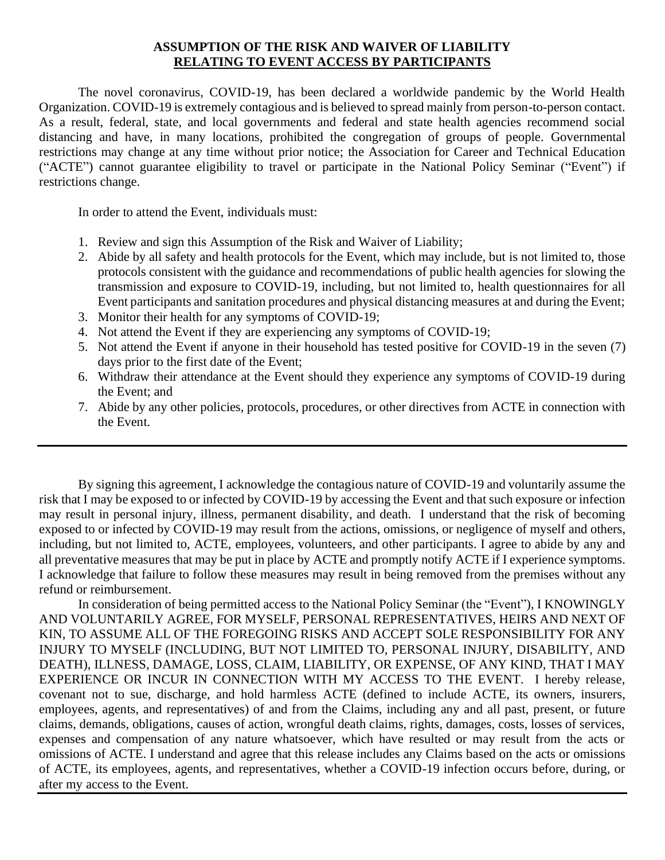## **ASSUMPTION OF THE RISK AND WAIVER OF LIABILITY RELATING TO EVENT ACCESS BY PARTICIPANTS**

The novel coronavirus, COVID-19, has been declared a worldwide pandemic by the World Health Organization. COVID-19 is extremely contagious and is believed to spread mainly from person-to-person contact. As a result, federal, state, and local governments and federal and state health agencies recommend social distancing and have, in many locations, prohibited the congregation of groups of people. Governmental restrictions may change at any time without prior notice; the Association for Career and Technical Education ("ACTE") cannot guarantee eligibility to travel or participate in the National Policy Seminar ("Event") if restrictions change.

In order to attend the Event, individuals must:

- 1. Review and sign this Assumption of the Risk and Waiver of Liability;
- 2. Abide by all safety and health protocols for the Event, which may include, but is not limited to, those protocols consistent with the guidance and recommendations of public health agencies for slowing the transmission and exposure to COVID-19, including, but not limited to, health questionnaires for all Event participants and sanitation procedures and physical distancing measures at and during the Event;
- 3. Monitor their health for any symptoms of COVID-19;
- 4. Not attend the Event if they are experiencing any symptoms of COVID-19;
- 5. Not attend the Event if anyone in their household has tested positive for COVID-19 in the seven (7) days prior to the first date of the Event;
- 6. Withdraw their attendance at the Event should they experience any symptoms of COVID-19 during the Event; and
- 7. Abide by any other policies, protocols, procedures, or other directives from ACTE in connection with the Event.

By signing this agreement, I acknowledge the contagious nature of COVID-19 and voluntarily assume the risk that I may be exposed to or infected by COVID-19 by accessing the Event and that such exposure or infection may result in personal injury, illness, permanent disability, and death. I understand that the risk of becoming exposed to or infected by COVID-19 may result from the actions, omissions, or negligence of myself and others, including, but not limited to, ACTE, employees, volunteers, and other participants. I agree to abide by any and all preventative measures that may be put in place by ACTE and promptly notify ACTE if I experience symptoms. I acknowledge that failure to follow these measures may result in being removed from the premises without any refund or reimbursement.

In consideration of being permitted access to the National Policy Seminar (the "Event"), I KNOWINGLY AND VOLUNTARILY AGREE, FOR MYSELF, PERSONAL REPRESENTATIVES, HEIRS AND NEXT OF KIN, TO ASSUME ALL OF THE FOREGOING RISKS AND ACCEPT SOLE RESPONSIBILITY FOR ANY INJURY TO MYSELF (INCLUDING, BUT NOT LIMITED TO, PERSONAL INJURY, DISABILITY, AND DEATH), ILLNESS, DAMAGE, LOSS, CLAIM, LIABILITY, OR EXPENSE, OF ANY KIND, THAT I MAY EXPERIENCE OR INCUR IN CONNECTION WITH MY ACCESS TO THE EVENT. I hereby release, covenant not to sue, discharge, and hold harmless ACTE (defined to include ACTE, its owners, insurers, employees, agents, and representatives) of and from the Claims, including any and all past, present, or future claims, demands, obligations, causes of action, wrongful death claims, rights, damages, costs, losses of services, expenses and compensation of any nature whatsoever, which have resulted or may result from the acts or omissions of ACTE. I understand and agree that this release includes any Claims based on the acts or omissions of ACTE, its employees, agents, and representatives, whether a COVID-19 infection occurs before, during, or after my access to the Event.